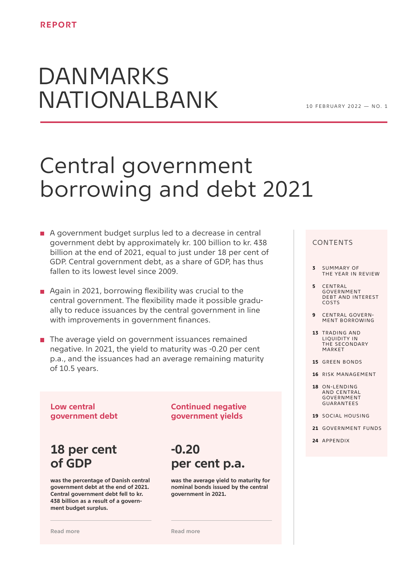# DANMARKS NATIONALBANK

 $10$  FFRRIIARY 2022 - NO 1

## Central government borrowing and debt 2021

- A government budget surplus led to a decrease in central government debt by approximately kr. 100 billion to kr. 438 billion at the end of 2021, equal to just under 18 per cent of GDP. Central government debt, as a share of GDP, has thus fallen to its lowest level since 2009.
- Again in 2021, borrowing flexibility was crucial to the central government. The flexibility made it possible gradually to reduce issuances by the central government in line with improvements in government finances.
- $\blacksquare$  The average yield on government issuances remained negative. In 2021, the yield to maturity was -0.20 per cent p.a., and the issuances had an average remaining maturity of 10.5 years.

### **Low central government debt**

### **18 per cent of GDP**

**was the percentage of Danish central government debt at the end of 2021. Central government debt fell to kr. 438 billion as a result of a government budget surplus.**

**[Read more](#page-4-0)**

### **Continued negative government yields**

## **-0.20 per cent p.a.**

**was the average yield to maturity for nominal bonds issued by the central government in 2021.**

**[Read more](#page-8-0)**

### CONTENTS

- **3** SUMMARY OF [THE YEAR IN REVIEW](#page-2-0)
- **5** CENTRAL **GOVERNMENT** [DEBT AND INTEREST](#page-4-0)  COSTS
- **9** CENTRAL GOVERN-[MENT BORROWING](#page-8-0)
- **13** TRADING AND LIQUIDITY IN THE SECONDARY MARKET
- **15** [GREEN BONDS](#page-14-0)
- **16** [RISK MANAGEMENT](#page-15-0)
- **18** ON-LENDING AND CENTRAL **GOVERNMENT** GUARANTEES
- **19** [SOCIAL HOUSING](#page-18-0)
- **21** [GOVERNMENT FUNDS](#page-20-0)
- **24** [APPENDIX](#page-23-0)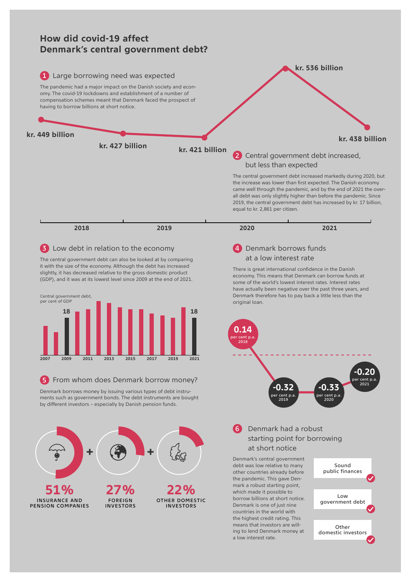

Other domestic investors

ing to lend Denmark money at

a low interest rate.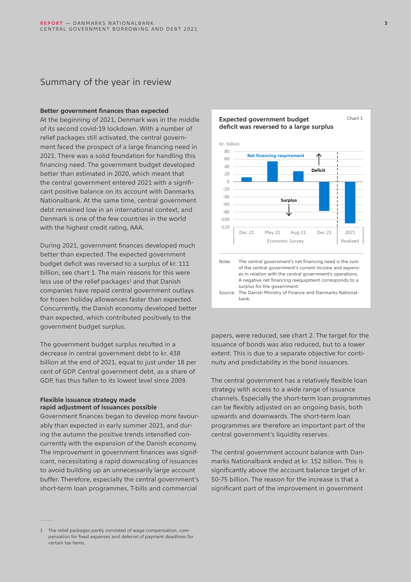### <span id="page-2-0"></span>Summary of the year in review

#### **Better government finances than expected**

At the beginning of 2021, Denmark was in the middle of its second covid-19 lockdown. With a number of relief packages still activated, the central government faced the prospect of a large financing need in 2021. There was a solid foundation for handling this financing need. The government budget developed better than estimated in 2020, which meant that the central government entered 2021 with a significant positive balance on its account with Danmarks Nationalbank. At the same time, central government debt remained low in an international context, and Denmark is one of the few countries in the world with the highest credit rating, AAA.

During 2021, government finances developed much better than expected. The expected government budget deficit was reversed to a surplus of kr. 111 billion, see chart 1. The main reasons for this were less use of the relief packages<sup>1</sup> and that Danish companies have repaid central government outlays for frozen holiday allowances faster than expected. Concurrently, the Danish economy developed better than expected, which contributed positively to the government budget surplus.

The government budget surplus resulted in a decrease in central government debt to kr. 438 billion at the end of 2021, equal to just under 18 per cent of GDP. Central government debt, as a share of GDP, has thus fallen to its lowest level since 2009.

### **Flexible issuance strategy made rapid adjustment of issuances possible**

Government finances began to develop more favourably than expected in early summer 2021, and during the autumn the positive trends intensified concurrently with the expansion of the Danish economy. The improvement in government finances was significant, necessitating a rapid downscaling of issuances to avoid building up an unnecessarily large account buffer. Therefore, especially the central government's short-term loan programmes, T-bills and commercial



papers, were reduced, see chart 2. The target for the issuance of bonds was also reduced, but to a lower extent. This is due to a separate objective for continuity and predictability in the bond issuances.

The central government has a relatively flexible loan strategy with access to a wide range of issuance channels. Especially the short-term loan programmes can be flexibly adjusted on an ongoing basis, both upwards and downwards. The short-term loan programmes are therefore an important part of the central government's liquidity reserves.

The central government account balance with Danmarks Nationalbank ended at kr. 152 billion. This is significantly above the account balance target of kr. 50-75 billion. The reason for the increase is that a significant part of the improvement in government

<sup>1</sup> The relief packages partly consisted of wage compensation, compensation for fixed expenses and deferral of payment deadlines for certain tax items.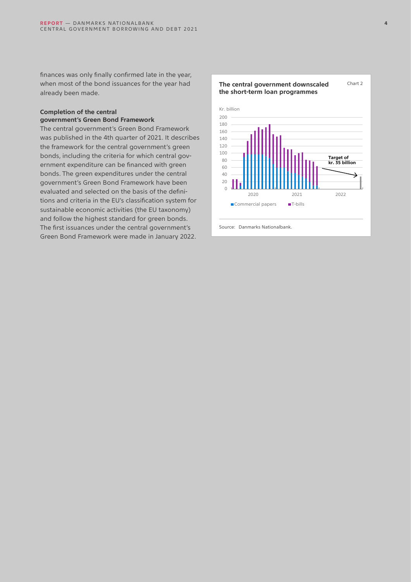finances was only finally confirmed late in the year, when most of the bond issuances for the year had already been made.

### **Completion of the central government's Green Bond Framework**

The central government's Green Bond Framework was published in the 4th quarter of 2021. It describes the framework for the central government's green bonds, including the criteria for which central government expenditure can be financed with green bonds. The green expenditures under the central government's Green Bond Framework have been evaluated and selected on the basis of the definitions and criteria in the EU's classification system for sustainable economic activities (the EU taxonomy) and follow the highest standard for green bonds. The first issuances under the central government's Green Bond Framework were made in January 2022.

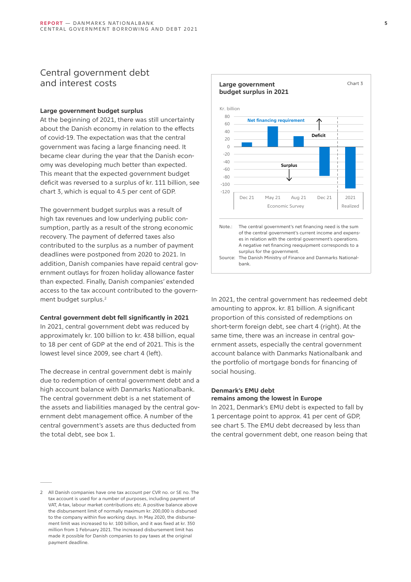### <span id="page-4-0"></span>Central government debt and interest costs

### **Large government budget surplus**

At the beginning of 2021, there was still uncertainty about the Danish economy in relation to the effects of covid-19. The expectation was that the central government was facing a large financing need. It became clear during the year that the Danish economy was developing much better than expected. This meant that the expected government budget deficit was reversed to a surplus of kr. 111 billion, see chart 3, which is equal to 4.5 per cent of GDP.

The government budget surplus was a result of high tax revenues and low underlying public consumption, partly as a result of the strong economic recovery. The payment of deferred taxes also contributed to the surplus as a number of payment deadlines were postponed from 2020 to 2021. In addition, Danish companies have repaid central government outlays for frozen holiday allowance faster than expected. Finally, Danish companies' extended access to the tax account contributed to the government budget surplus.<sup>2</sup>

#### **Central government debt fell significantly in 2021**

In 2021, central government debt was reduced by approximately kr. 100 billion to kr. 438 billion, equal to 18 per cent of GDP at the end of 2021. This is the lowest level since 2009, see chart 4 (left).

The decrease in central government debt is mainly due to redemption of central government debt and a high account balance with Danmarks Nationalbank. The central government debt is a net statement of the assets and liabilities managed by the central government debt management office. A number of the central government's assets are thus deducted from the total debt, see box 1.



In 2021, the central government has redeemed debt amounting to approx. kr. 81 billion. A significant proportion of this consisted of redemptions on short-term foreign debt, see chart 4 (right). At the same time, there was an increase in central government assets, especially the central government account balance with Danmarks Nationalbank and the portfolio of mortgage bonds for financing of social housing.

### **Denmark's EMU debt remains among the lowest in Europe**

In 2021, Denmark's EMU debt is expected to fall by 1 percentage point to approx. 41 per cent of GDP, see chart 5. The EMU debt decreased by less than the central government debt, one reason being that

<sup>2</sup> All Danish companies have one tax account per CVR no. or SE no. The tax account is used for a number of purposes, including payment of VAT, A-tax, labour market contributions etc. A positive balance above the disbursement limit of normally maximum kr. 200,000 is disbursed to the company within five working days. In May 2020, the disbursement limit was increased to kr. 100 billion, and it was fixed at kr. 350 million from 1 February 2021. The increased disbursement limit has made it possible for Danish companies to pay taxes at the original payment deadline.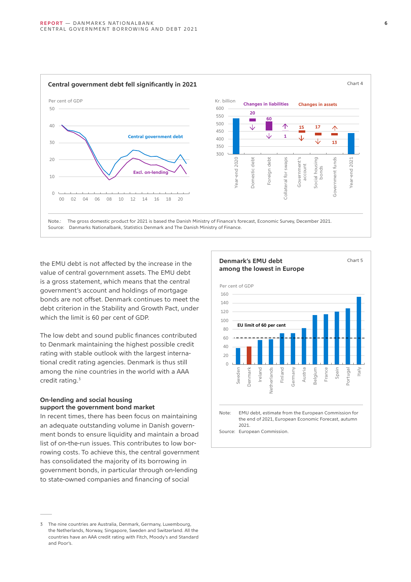

the EMU debt is not affected by the increase in the value of central government assets. The EMU debt is a gross statement, which means that the central government's account and holdings of mortgage bonds are not offset. Denmark continues to meet the debt criterion in the Stability and Growth Pact, under which the limit is 60 per cent of GDP.

The low debt and sound public finances contributed to Denmark maintaining the highest possible credit rating with stable outlook with the largest international credit rating agencies. Denmark is thus still among the nine countries in the world with a AAA credit rating. 3

### **On-lending and social housing support the government bond market**

In recent times, there has been focus on maintaining an adequate outstanding volume in Danish government bonds to ensure liquidity and maintain a broad list of on-the-run issues. This contributes to low borrowing costs. To achieve this, the central government has consolidated the majority of its borrowing in government bonds, in particular through on-lending to state-owned companies and financing of social



<sup>3</sup> The nine countries are Australia, Denmark, Germany, Luxembourg, the Netherlands, Norway, Singapore, Sweden and Switzerland. All the countries have an AAA credit rating with Fitch, Moody's and Standard and Poor's.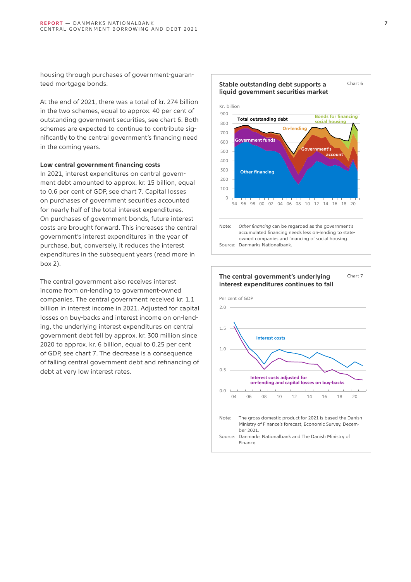housing through purchases of government-guaranteed mortgage bonds.

At the end of 2021, there was a total of kr. 274 billion in the two schemes, equal to approx. 40 per cent of outstanding government securities, see chart 6. Both schemes are expected to continue to contribute significantly to the central government's financing need in the coming years.

### **Low central government financing costs**

In 2021, interest expenditures on central government debt amounted to approx. kr. 15 billion, equal to 0.6 per cent of GDP, see chart 7. Capital losses on purchases of government securities accounted for nearly half of the total interest expenditures. On purchases of government bonds, future interest costs are brought forward. This increases the central government's interest expenditures in the year of purchase, but, conversely, it reduces the interest expenditures in the subsequent years (read more in box 2).

The central government also receives interest income from on-lending to government-owned companies. The central government received kr. 1.1 billion in interest income in 2021. Adjusted for capital losses on buy-backs and interest income on on-lending, the underlying interest expenditures on central government debt fell by approx. kr. 300 million since 2020 to approx. kr. 6 billion, equal to 0.25 per cent of GDP, see chart 7. The decrease is a consequence of falling central government debt and refinancing of debt at very low interest rates.



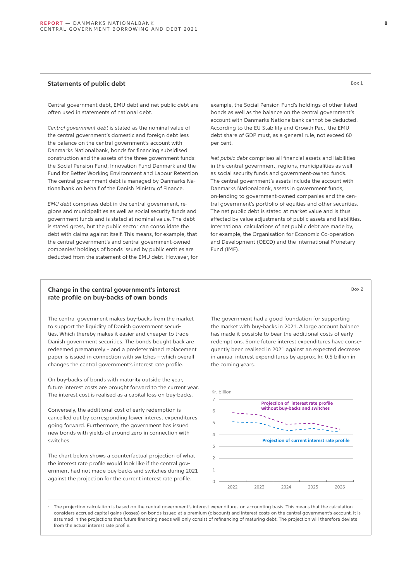### **Statements of public debt** Box 1

Central government debt, EMU debt and net public debt are often used in statements of national debt.

*Central government debt* is stated as the nominal value of the central government's domestic and foreign debt less the balance on the central government's account with Danmarks Nationalbank, bonds for financing subsidised construction and the assets of the three government funds: the Social Pension Fund, Innovation Fund Denmark and the Fund for Better Working Environment and Labour Retention The central government debt is managed by Danmarks Nationalbank on behalf of the Danish Ministry of Finance.

*EMU debt* comprises debt in the central government, regions and municipalities as well as social security funds and government funds and is stated at nominal value. The debt is stated gross, but the public sector can consolidate the debt with claims against itself. This means, for example, that the central government's and central government-owned companies' holdings of bonds issued by public entities are deducted from the statement of the EMU debt. However, for example, the Social Pension Fund's holdings of other listed bonds as well as the balance on the central government's account with Danmarks Nationalbank cannot be deducted. According to the EU Stability and Growth Pact, the EMU debt share of GDP must, as a general rule, not exceed 60 per cent.

*Net public debt* comprises all financial assets and liabilities in the central government, regions, municipalities as well as social security funds and government-owned funds. The central government's assets include the account with Danmarks Nationalbank, assets in government funds, on-lending to government-owned companies and the central government's portfolio of equities and other securities. The net public debt is stated at market value and is thus affected by value adjustments of public assets and liabilities. International calculations of net public debt are made by, for example, the Organisation for Economic Co-operation and Development (OECD) and the International Monetary Fund (IMF).

#### **Change in the central government's interest rate profile on buy-backs of own bonds**

The central government makes buy-backs from the market to support the liquidity of Danish government securities. Which thereby makes it easier and cheaper to trade Danish government securities. The bonds bought back are redeemed prematurely – and a predetermined replacement paper is issued in connection with switches – which overall changes the central government's interest rate profile.

On buy-backs of bonds with maturity outside the year, future interest costs are brought forward to the current year. The interest cost is realised as a capital loss on buy-backs.

Conversely, the additional cost of early redemption is cancelled out by corresponding lower interest expenditures going forward. Furthermore, the government has issued new bonds with yields of around zero in connection with switches.

The chart below shows a counterfactual projection of what the interest rate profile would look like if the central government had not made buy-backs and switches during 2021 against the projection for the current interest rate profile.

The government had a good foundation for supporting the market with buy-backs in 2021. A large account balance has made it possible to bear the additional costs of early redemptions. Some future interest expenditures have consequently been realised in 2021 against an expected decrease in annual interest expenditures by approx. kr. 0.5 billion in the coming years.



1. The projection calculation is based on the central government's interest expenditures on accounting basis. This means that the calculation considers accrued capital gains (losses) on bonds issued at a premium (discount) and interest costs on the central government's account. It is assumed in the projections that future financing needs will only consist of refinancing of maturing debt. The projection will therefore deviate from the actual interest rate profile.

Box 2

**8**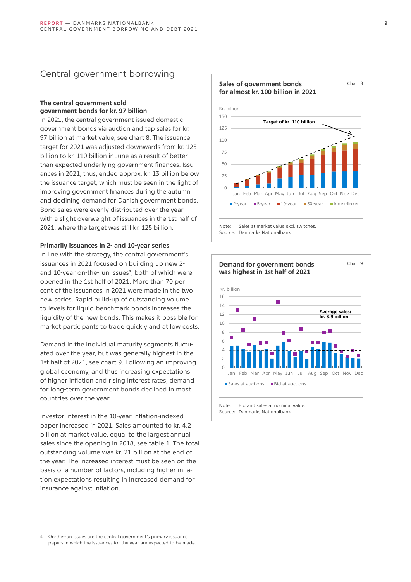### <span id="page-8-0"></span>Central government borrowing

### **The central government sold government bonds for kr. 97 billion**

In 2021, the central government issued domestic government bonds via auction and tap sales for kr. 97 billion at market value, see chart 8. The issuance target for 2021 was adjusted downwards from kr. 125 billion to kr. 110 billion in June as a result of better than expected underlying government finances. Issuances in 2021, thus, ended approx. kr. 13 billion below the issuance target, which must be seen in the light of improving government finances during the autumn and declining demand for Danish government bonds. Bond sales were evenly distributed over the year with a slight overweight of issuances in the 1st half of 2021, where the target was still kr. 125 billion.

### **Primarily issuances in 2- and 10-year series**

In line with the strategy, the central government's issuances in 2021 focused on building up new 2 and 10-year on-the-run issues<sup>4</sup>, both of which were opened in the 1st half of 2021. More than 70 per cent of the issuances in 2021 were made in the two new series. Rapid build-up of outstanding volume to levels for liquid benchmark bonds increases the liquidity of the new bonds. This makes it possible for market participants to trade quickly and at low costs.

Demand in the individual maturity segments fluctuated over the year, but was generally highest in the 1st half of 2021, see chart 9. Following an improving global economy, and thus increasing expectations of higher inflation and rising interest rates, demand for long-term government bonds declined in most countries over the year.

Investor interest in the 10-year inflation-indexed paper increased in 2021. Sales amounted to kr. 4.2 billion at market value, equal to the largest annual sales since the opening in 2018, see table 1. The total outstanding volume was kr. 21 billion at the end of the year. The increased interest must be seen on the basis of a number of factors, including higher inflation expectations resulting in increased demand for insurance against inflation.





<sup>4</sup> On-the-run issues are the central government's primary issuance papers in which the issuances for the year are expected to be made.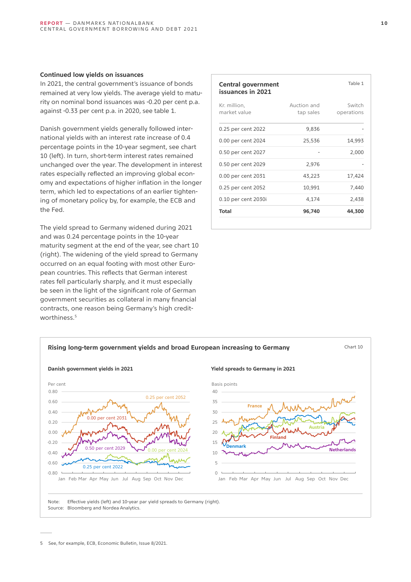### **Continued low yields on issuances**

In 2021, the central government's issuance of bonds remained at very low yields. The average yield to maturity on nominal bond issuances was -0.20 per cent p.a. against -0.33 per cent p.a. in 2020, see table 1.

Danish government yields generally followed international yields with an interest rate increase of 0.4 percentage points in the 10-year segment, see chart 10 (left). In turn, short-term interest rates remained unchanged over the year. The development in interest rates especially reflected an improving global economy and expectations of higher inflation in the longer term, which led to expectations of an earlier tightening of monetary policy by, for example, the ECB and the Fed.

The yield spread to Germany widened during 2021 and was 0.24 percentage points in the 10-year maturity segment at the end of the year, see chart 10 (right). The widening of the yield spread to Germany occurred on an equal footing with most other European countries. This reflects that German interest rates fell particularly sharply, and it must especially be seen in the light of the significant role of German government securities as collateral in many financial contracts, one reason being Germany's high creditworthiness.<sup>5</sup>

| Central government<br>issuances in 2021 |                          | Table 1              |
|-----------------------------------------|--------------------------|----------------------|
| Kr. million,<br>market value            | Auction and<br>tap sales | Switch<br>operations |
| 0.25 per cent 2022                      | 9,836                    |                      |
| 0.00 per cent 2024                      | 25,536                   | 14,993               |
| 0.50 per cent 2027                      |                          | 2,000                |
| 0.50 per cent 2029                      | 2,976                    |                      |
| 0.00 per cent 2031                      | 43,223                   | 17,424               |
| 0.25 per cent 2052                      | 10,991                   | 7,440                |
| 0.10 per cent 2030i                     | 4,174                    | 2,438                |
| Total                                   | 96,740                   | 44,300               |



5 See, for example, ECB, Economic Bulletin, Issue 8/2021.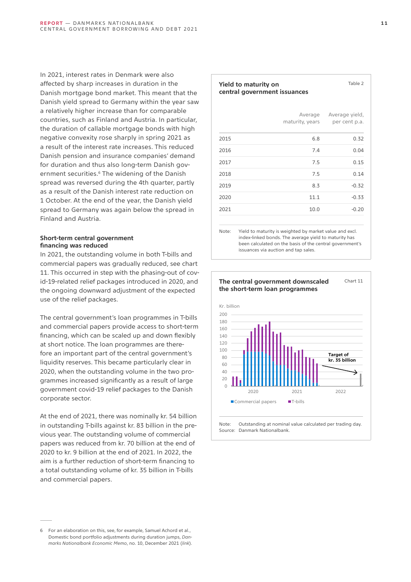<span id="page-10-0"></span>In 2021, interest rates in Denmark were also affected by sharp increases in duration in the Danish mortgage bond market. This meant that the Danish yield spread to Germany within the year saw a relatively higher increase than for comparable countries, such as Finland and Austria. In particular, the duration of callable mortgage bonds with high negative convexity rose sharply in spring 2021 as a result of the interest rate increases. This reduced Danish pension and insurance companies' demand for duration and thus also long-term Danish government securities.<sup>6</sup> The widening of the Danish spread was reversed during the 4th quarter, partly as a result of the Danish interest rate reduction on 1 October. At the end of the year, the Danish yield spread to Germany was again below the spread in Finland and Austria.

### **Short-term central government financing was reduced**

In 2021, the outstanding volume in both T-bills and commercial papers was gradually reduced, see chart 11. This occurred in step with the phasing-out of covid-19-related relief packages introduced in 2020, and the ongoing downward adjustment of the expected use of the relief packages.

The central government's loan programmes in T-bills and commercial papers provide access to short-term financing, which can be scaled up and down flexibly at short notice. The loan programmes are therefore an important part of the central government's liquidity reserves. This became particularly clear in 2020, when the outstanding volume in the two programmes increased significantly as a result of large government covid-19 relief packages to the Danish corporate sector.

At the end of 2021, there was nominally kr. 54 billion in outstanding T-bills against kr. 83 billion in the previous year. The outstanding volume of commercial papers was reduced from kr. 70 billion at the end of 2020 to kr. 9 billion at the end of 2021. In 2022, the aim is a further reduction of short-term financing to a total outstanding volume of kr. 35 billion in T-bills and commercial papers.

#### 6 For an elaboration on this, see, for example, Samuel Achord et al., Domestic bond portfolio adjustments during duration jumps, *Danmarks Nationalbank Economic Memo*, no. 10, December 2021 (*[link](https://www.nationalbanken.dk/en/publications/Documents/2021/12/Economic%20memo%20nr.%2010-2021.pdf)*).

#### **Yield to maturity on central government issuances**

|      | Average<br>maturity, years | Average yield,<br>per cent p.a. |
|------|----------------------------|---------------------------------|
| 2015 | 6.8                        | 0.32                            |
| 2016 | 7.4                        | 0.04                            |
| 2017 | 7.5                        | 0.15                            |
| 2018 | 7.5                        | 0.14                            |
| 2019 | 8.3                        | $-0.32$                         |
| 2020 | 11.1                       | $-0.33$                         |
| 2021 | 10.0                       | $-0.20$                         |
|      |                            |                                 |

Note: Yield to maturity is weighted by market value and excl. index-linked bonds. The average yield to maturity has been calculated on the basis of the central government's issuances via auction and tap sales.



Table 2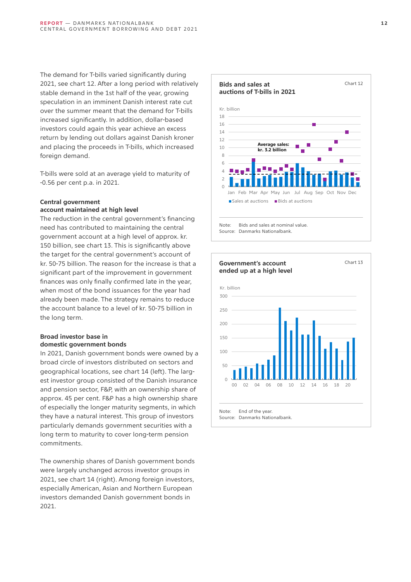The demand for T-bills varied significantly during 2021, see chart 12. After a long period with relatively stable demand in the 1st half of the year, growing speculation in an imminent Danish interest rate cut over the summer meant that the demand for T-bills increased significantly. In addition, dollar-based investors could again this year achieve an excess return by lending out dollars against Danish kroner and placing the proceeds in T-bills, which increased foreign demand.

T-bills were sold at an average yield to maturity of -0.56 per cent p.a. in 2021.

#### **Central government account maintained at high level**

The reduction in the central government's financing need has contributed to maintaining the central government account at a high level of approx. kr. 150 billion, see chart 13. This is significantly above the target for the central government's account of kr. 50-75 billion. The reason for the increase is that a significant part of the improvement in government finances was only finally confirmed late in the year, when most of the bond issuances for the year had already been made. The strategy remains to reduce the account balance to a level of kr. 50-75 billion in the long term.

### **Broad investor base in domestic government bonds**

In 2021, Danish government bonds were owned by a broad circle of investors distributed on sectors and geographical locations, see chart 14 (left). The largest investor group consisted of the Danish insurance and pension sector, F&P, with an ownership share of approx. 45 per cent. F&P has a high ownership share of especially the longer maturity segments, in which they have a natural interest. This group of investors particularly demands government securities with a long term to maturity to cover long-term pension commitments.

The ownership shares of Danish government bonds were largely unchanged across investor groups in 2021, see chart 14 (right). Among foreign investors, especially American, Asian and Northern European investors demanded Danish government bonds in 2021.



Note: Bids and sales at nominal value. Source: Danmarks Nationalbank.

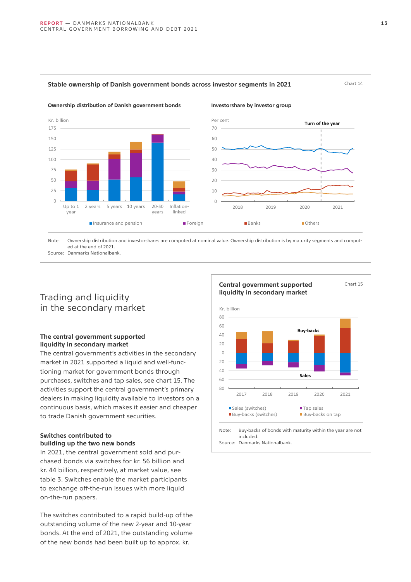

<span id="page-12-0"></span>Stable ownership of Danish government bonds across investor segments in 2021 Chart 14

### Trading and liquidity in the secondary market

Source: Danmarks Nationalbank.

### **The central government supported liquidity in secondary market**

The central government's activities in the secondary market in 2021 supported a liquid and well-functioning market for government bonds through purchases, switches and tap sales, see chart 15. The activities support the central government's primary dealers in making liquidity available to investors on a continuous basis, which makes it easier and cheaper to trade Danish government securities.

### **Switches contributed to building up the two new bonds**

In 2021, the central government sold and purchased bonds via switches for kr. 56 billion and kr. 44 billion, respectively, at market value, see table 3. Switches enable the market participants to exchange off-the-run issues with more liquid on-the-run papers.

The switches contributed to a rapid build-up of the outstanding volume of the new 2-year and 10-year bonds. At the end of 2021, the outstanding volume of the new bonds had been built up to approx. kr.



#### **1 3**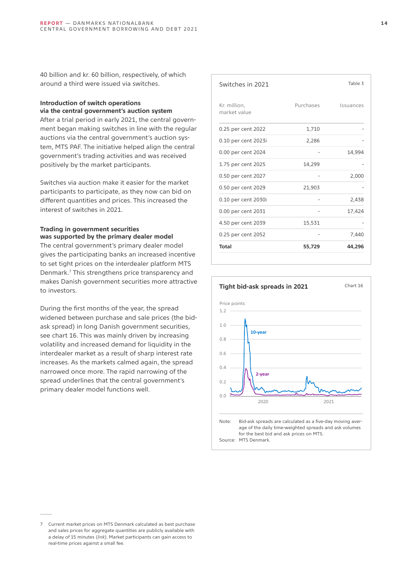40 billion and kr. 60 billion, respectively, of which around a third were issued via switches.

### **Introduction of switch operations via the central government's auction system**

After a trial period in early 2021, the central government began making switches in line with the regular auctions via the central government's auction system, MTS PAF. The initiative helped align the central government's trading activities and was received positively by the market participants.

Switches via auction make it easier for the market participants to participate, as they now can bid on different quantities and prices. This increased the interest of switches in 2021.

### **Trading in government securities was supported by the primary dealer model**

The central government's primary dealer model gives the participating banks an increased incentive to set tight prices on the interdealer platform MTS Denmark.7 This strengthens price transparency and makes Danish government securities more attractive to investors.

During the first months of the year, the spread widened between purchase and sale prices (the bidask spread) in long Danish government securities, see chart 16. This was mainly driven by increasing volatility and increased demand for liquidity in the interdealer market as a result of sharp interest rate increases. As the markets calmed again, the spread narrowed once more. The rapid narrowing of the spread underlines that the central government's primary dealer model functions well.

| Switches in 2021             |           | Table 3   |
|------------------------------|-----------|-----------|
| Kr. million,<br>market value | Purchases | Issuances |
| 0.25 per cent 2022           | 1,710     |           |
| 0.10 per cent 2023i          | 2,286     |           |
| 0.00 per cent 2024           |           | 14,994    |
| 1.75 per cent 2025           | 14,299    |           |
| 0.50 per cent 2027           |           | 2,000     |
| 0.50 per cent 2029           | 21,903    |           |
| 0.10 per cent 2030i          |           | 2,438     |
| 0.00 per cent 2031           |           | 17,424    |
| 4.50 per cent 2039           | 15,531    |           |
| 0.25 per cent 2052           |           | 7,440     |
| Total                        | 55,729    | 44,296    |



<sup>7</sup> Current market prices on MTS Denmark calculated as best purchase and sales prices for aggregate quantities are publicly available with a delay of 15 minutes (*[link](https://www.nationalbanken.dk/en/governmentdebt/Secondarytradingandmarketmaking/Pages/Current-pricing.aspx)*). Market participants can gain access to real-time prices against a small fee.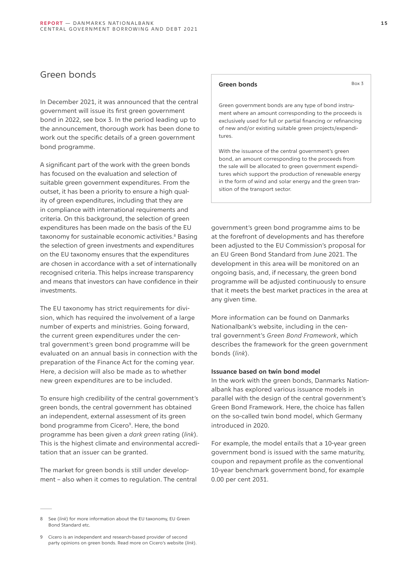### <span id="page-14-0"></span>Green bonds

In December 2021, it was announced that the central government will issue its first green government bond in 2022, see box 3. In the period leading up to the announcement, thorough work has been done to work out the specific details of a green government bond programme.

A significant part of the work with the green bonds has focused on the evaluation and selection of suitable green government expenditures. From the outset, it has been a priority to ensure a high quality of green expenditures, including that they are in compliance with international requirements and criteria. On this background, the selection of green expenditures has been made on the basis of the EU taxonomy for sustainable economic activities.<sup>8</sup> Basing the selection of green investments and expenditures on the EU taxonomy ensures that the expenditures are chosen in accordance with a set of internationally recognised criteria. This helps increase transparency and means that investors can have confidence in their investments.

The EU taxonomy has strict requirements for division, which has required the involvement of a large number of experts and ministries. Going forward, the current green expenditures under the central government's green bond programme will be evaluated on an annual basis in connection with the preparation of the Finance Act for the coming year. Here, a decision will also be made as to whether new green expenditures are to be included.

To ensure high credibility of the central government's green bonds, the central government has obtained an independent, external assessment of its green bond programme from Cicero<sup>9</sup>. Here, the bond programme has been given a *dark green* rating (*[link](https://www.nationalbanken.dk/en/governmentdebt/green_bonds/Documents/Second%20Party%20Opinion.pdf)*). This is the highest climate and environmental accreditation that an issuer can be granted.

The market for green bonds is still under development – also when it comes to regulation. The central

### Green bonds Box 3

Green government bonds are any type of bond instrument where an amount corresponding to the proceeds is exclusively used for full or partial financing or refinancing of new and/or existing suitable green projects/expenditures.

With the issuance of the central government's green bond, an amount corresponding to the proceeds from the sale will be allocated to green government expenditures which support the production of renewable energy in the form of wind and solar energy and the green transition of the transport sector.

government's green bond programme aims to be at the forefront of developments and has therefore been adjusted to the EU Commission's proposal for an EU Green Bond Standard from June 2021. The development in this area will be monitored on an ongoing basis, and, if necessary, the green bond programme will be adjusted continuously to ensure that it meets the best market practices in the area at any given time.

More information can be found on Danmarks Nationalbank's website, including in the central government's *Green Bond Framework*, which describes the framework for the green government bonds (*[link](https://www.nationalbanken.dk/da/statsgaeld/groenne_obligationer/Sider/default.aspx)*).

### **Issuance based on twin bond model**

In the work with the green bonds, Danmarks Nationalbank has explored various issuance models in parallel with the design of the central government's Green Bond Framework. Here, the choice has fallen on the so-called twin bond model, which Germany introduced in 2020.

For example, the model entails that a 10-year green government bond is issued with the same maturity, coupon and repayment profile as the conventional 10-year benchmark government bond, for example 0.00 per cent 2031.

<sup>8</sup> See (*[link](https://www.nationalbanken.dk/en/governmentdebt/green_bonds/Documents/Background%20note.pdf)*) for more information about the EU taxonomy, EU Green Bond Standard etc.

<sup>9</sup> Cicero is an independent and research-based provider of second party opinions on green bonds. Read more on Cicero's website (*[link](https://cicero.green/)*).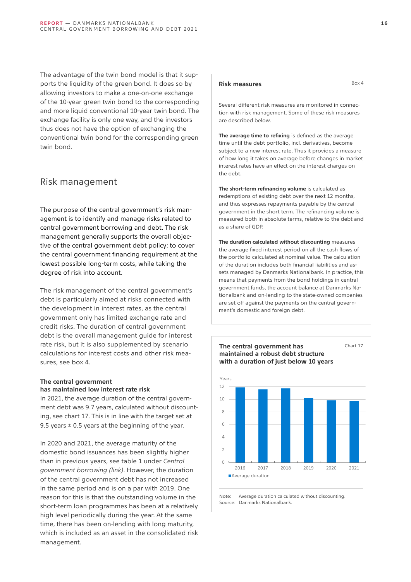<span id="page-15-0"></span>The advantage of the twin bond model is that it supports the liquidity of the green bond. It does so by allowing investors to make a one-on-one exchange of the 10-year green twin bond to the corresponding and more liquid conventional 10-year twin bond. The exchange facility is only one way, and the investors thus does not have the option of exchanging the conventional twin bond for the corresponding green twin bond.

### Risk management

The purpose of the central government's risk management is to identify and manage risks related to central government borrowing and debt. The risk management generally supports the overall objective of the central government debt policy: to cover the central government financing requirement at the lowest possible long-term costs, while taking the degree of risk into account.

The risk management of the central government's debt is particularly aimed at risks connected with the development in interest rates, as the central government only has limited exchange rate and credit risks. The duration of central government debt is the overall management guide for interest rate risk, but it is also supplemented by scenario calculations for interest costs and other risk measures, see box 4.

### **The central government has maintained low interest rate risk**

In 2021, the average duration of the central government debt was 9.7 years, calculated without discounting, see chart 17. This is in line with the target set at 9.5 years  $\pm$  0.5 years at the beginning of the year.

In 2020 and 2021, the average maturity of the domestic bond issuances has been slightly higher than in previous years, see table 1 under *Central government borrowing ([link](#page-10-0))*. However, the duration of the central government debt has not increased in the same period and is on a par with 2019. One reason for this is that the outstanding volume in the short-term loan programmes has been at a relatively high level periodically during the year. At the same time, there has been on-lending with long maturity, which is included as an asset in the consolidated risk management.

### **Risk measures** Box 4

Several different risk measures are monitored in connection with risk management. Some of these risk measures are described below.

**The average time to refixing** is defined as the average time until the debt portfolio, incl. derivatives, become subject to a new interest rate. Thus it provides a measure of how long it takes on average before changes in market interest rates have an effect on the interest charges on the debt.

**The short-term refinancing volume** is calculated as redemptions of existing debt over the next 12 months, and thus expresses repayments payable by the central government in the short term. The refinancing volume is measured both in absolute terms, relative to the debt and as a share of GDP.

**The duration calculated without discounting** measures the average fixed interest period on all the cash flows of the portfolio calculated at nominal value. The calculation of the duration includes both financial liabilities and assets managed by Danmarks Nationalbank. In practice, this means that payments from the bond holdings in central government funds, the account balance at Danmarks Nationalbank and on-lending to the state-owned companies are set off against the payments on the central government's domestic and foreign debt.



Source: Danmarks Nationalbank.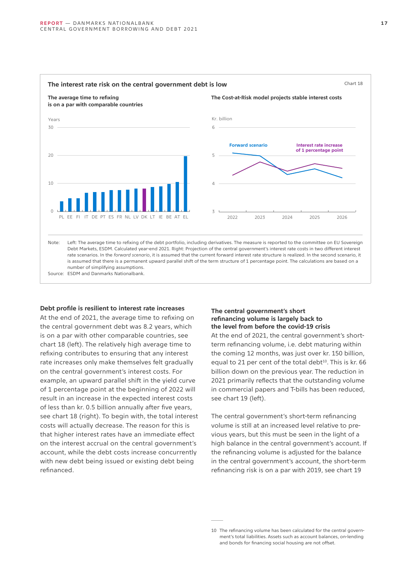

Source: ESDM and Danmarks Nationalbank.

#### **Debt profile is resilient to interest rate increases**

At the end of 2021, the average time to refixing on the central government debt was 8.2 years, which is on a par with other comparable countries, see chart 18 (left). The relatively high average time to refixing contributes to ensuring that any interest rate increases only make themselves felt gradually on the central government's interest costs. For example, an upward parallel shift in the yield curve of 1 percentage point at the beginning of 2022 will result in an increase in the expected interest costs of less than kr. 0.5 billion annually after five years, see chart 18 (right). To begin with, the total interest costs will actually decrease. The reason for this is that higher interest rates have an immediate effect on the interest accrual on the central government's account, while the debt costs increase concurrently with new debt being issued or existing debt being refinanced.

### **The central government's short refinancing volume is largely back to the level from before the covid-19 crisis**

At the end of 2021, the central government's shortterm refinancing volume, i.e. debt maturing within the coming 12 months, was just over kr. 150 billion, equal to 21 per cent of the total debt<sup>10</sup>. This is kr. 66 billion down on the previous year. The reduction in 2021 primarily reflects that the outstanding volume in commercial papers and T-bills has been reduced, see chart 19 (left).

The central government's short-term refinancing volume is still at an increased level relative to previous years, but this must be seen in the light of a high balance in the central government's account. If the refinancing volume is adjusted for the balance in the central government's account, the short-term refinancing risk is on a par with 2019, see chart 19

<sup>10</sup> The refinancing volume has been calculated for the central government's total liabilities. Assets such as account balances, on-lending and bonds for financing social housing are not offset.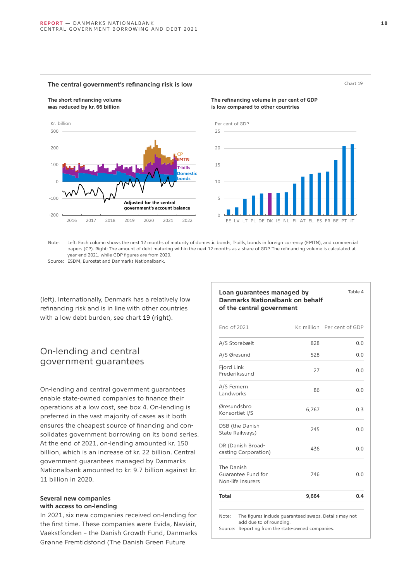<span id="page-17-0"></span>

(left). Internationally, Denmark has a relatively low refinancing risk and is in line with other countries with a low debt burden, see chart 19 (right).

### On-lending and central government guarantees

On-lending and central government guarantees enable state-owned companies to finance their operations at a low cost, see box 4. On-lending is preferred in the vast majority of cases as it both ensures the cheapest source of financing and consolidates government borrowing on its bond series. At the end of 2021, on-lending amounted kr. 150 billion, which is an increase of kr. 22 billion. Central government guarantees managed by Danmarks Nationalbank amounted to kr. 9.7 billion against kr. 11 billion in 2020.

### **Several new companies with access to on-lending**

In 2021, six new companies received on-lending for the first time. These companies were Evida, Naviair, Vaekstfonden – the Danish Growth Fund, Danmarks Grønne Fremtidsfond (The Danish Green Future

### **Loan guarantees managed by Danmarks Nationalbank on behalf of the central government**

| <b>Total</b>                                          | 9,664 | 0.4                         |
|-------------------------------------------------------|-------|-----------------------------|
| The Danish<br>Guarantee Fund for<br>Non-life Insurers | 746   | 0.0                         |
| DR (Danish Broad-<br>casting Corporation)             | 436   | 0.0                         |
| DSB (the Danish<br>State Railways)                    | 245   | 0.0                         |
| Øresundsbro<br>Konsortiet I/S                         | 6,767 | 0.3                         |
| A/S Femern<br>Landworks                               | 86    | 0.0                         |
| Fjord Link<br>Frederikssund                           | 27    | 0.0                         |
| A/S Øresund                                           | 528   | 0.0                         |
| A/S Storebælt                                         | 828   | 0.0                         |
| End of 2021                                           |       | Kr. million Per cent of GDP |

Note: The figures include guaranteed swaps. Details may not add due to of rounding.

Source: Reporting from the state-owned companies.

Table 4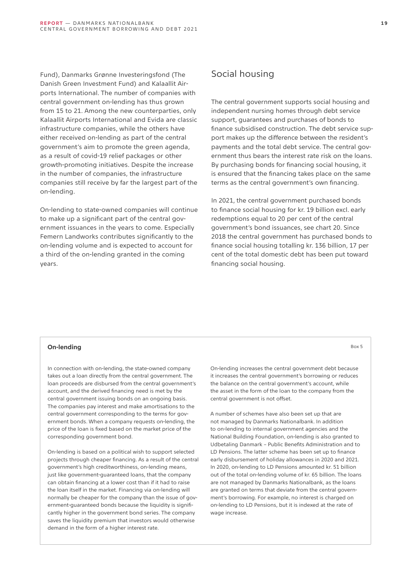<span id="page-18-0"></span>Fund), Danmarks Grønne Investeringsfond (The Danish Green Investment Fund) and Kalaallit Airports International. The number of companies with central government on-lending has thus grown from 15 to 21. Among the new counterparties, only Kalaallit Airports International and Evida are classic infrastructure companies, while the others have either received on-lending as part of the central government's aim to promote the green agenda, as a result of covid-19 relief packages or other growth-promoting initiatives. Despite the increase in the number of companies, the infrastructure companies still receive by far the largest part of the on-lending.

On-lending to state-owned companies will continue to make up a significant part of the central government issuances in the years to come. Especially Femern Landworks contributes significantly to the on-lending volume and is expected to account for a third of the on-lending granted in the coming years.

### Social housing

The central government supports social housing and independent nursing homes through debt service support, guarantees and purchases of bonds to finance subsidised construction. The debt service support makes up the difference between the resident's payments and the total debt service. The central government thus bears the interest rate risk on the loans. By purchasing bonds for financing social housing, it is ensured that the financing takes place on the same terms as the central government's own financing.

In 2021, the central government purchased bonds to finance social housing for kr. 19 billion excl. early redemptions equal to 20 per cent of the central government's bond issuances, see chart 20. Since 2018 the central government has purchased bonds to finance social housing totalling kr. 136 billion, 17 per cent of the total domestic debt has been put toward financing social housing.

### **On-lending** Box 5

In connection with on-lending, the state-owned company takes out a loan directly from the central government. The loan proceeds are disbursed from the central government's account, and the derived financing need is met by the central government issuing bonds on an ongoing basis. The companies pay interest and make amortisations to the central government corresponding to the terms for government bonds. When a company requests on-lending, the price of the loan is fixed based on the market price of the corresponding government bond.

On-lending is based on a political wish to support selected projects through cheaper financing. As a result of the central government's high creditworthiness, on-lending means, just like government-guaranteed loans, that the company can obtain financing at a lower cost than if it had to raise the loan itself in the market. Financing via on-lending will normally be cheaper for the company than the issue of government-guaranteed bonds because the liquidity is significantly higher in the government bond series. The company saves the liquidity premium that investors would otherwise demand in the form of a higher interest rate.

On-lending increases the central government debt because it increases the central government's borrowing or reduces the balance on the central government's account, while the asset in the form of the loan to the company from the central government is not offset.

A number of schemes have also been set up that are not managed by Danmarks Nationalbank. In addition to on-lending to internal government agencies and the National Building Foundation, on-lending is also granted to Udbetaling Danmark – Public Benefits Administration and to LD Pensions. The latter scheme has been set up to finance early disbursement of holiday allowances in 2020 and 2021. In 2020, on-lending to LD Pensions amounted kr. 51 billion out of the total on-lending volume of kr. 65 billion. The loans are not managed by Danmarks Nationalbank, as the loans are granted on terms that deviate from the central government's borrowing. For example, no interest is charged on on-lending to LD Pensions, but it is indexed at the rate of wage increase.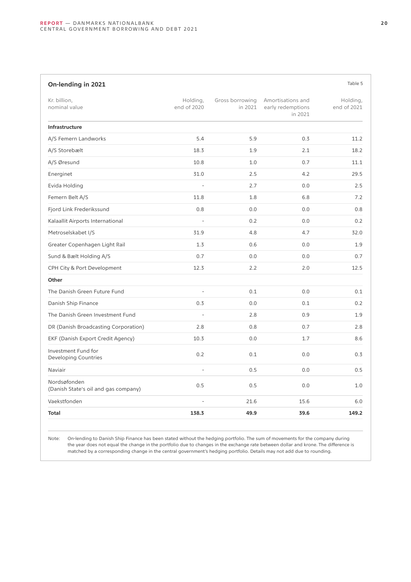| On-lending in 2021                                   |                          |                            |                                                   | Table 5                 |
|------------------------------------------------------|--------------------------|----------------------------|---------------------------------------------------|-------------------------|
| Kr. billion,<br>nominal value                        | Holding,<br>end of 2020  | Gross borrowing<br>in 2021 | Amortisations and<br>early redemptions<br>in 2021 | Holding,<br>end of 2021 |
| Infrastructure                                       |                          |                            |                                                   |                         |
| A/S Femern Landworks                                 | 5.4                      | 5.9                        | 0.3                                               | 11.2                    |
| A/S Storebælt                                        | 18.3                     | 1.9                        | 2.1                                               | 18.2                    |
| A/S Øresund                                          | 10.8                     | 1.0                        | 0.7                                               | 11.1                    |
| Energinet                                            | 31.0                     | 2.5                        | 4.2                                               | 29.5                    |
| Evida Holding                                        |                          | 2.7                        | 0.0                                               | 2.5                     |
| Femern Belt A/S                                      | 11.8                     | 1.8                        | 6.8                                               | 7.2                     |
| Fjord Link Frederikssund                             | 0.8                      | 0.0                        | 0.0                                               | 0.8                     |
| Kalaallit Airports International                     | $\overline{a}$           | 0.2                        | 0.0                                               | 0.2                     |
| Metroselskabet I/S                                   | 31.9                     | 4.8                        | 4.7                                               | 32.0                    |
| Greater Copenhagen Light Rail                        | 1.3                      | 0.6                        | 0.0                                               | 1.9                     |
| Sund & Bælt Holding A/S                              | 0.7                      | 0.0                        | 0.0                                               | 0.7                     |
| CPH City & Port Development                          | 12.3                     | 2.2                        | 2.0                                               | 12.5                    |
| Other                                                |                          |                            |                                                   |                         |
| The Danish Green Future Fund                         | $\overline{\phantom{m}}$ | 0.1                        | 0.0                                               | 0.1                     |
| Danish Ship Finance                                  | 0.3                      | 0.0                        | 0.1                                               | 0.2                     |
| The Danish Green Investment Fund                     | $\overline{a}$           | 2.8                        | 0.9                                               | 1.9                     |
| DR (Danish Broadcasting Corporation)                 | 2.8                      | 0.8                        | 0.7                                               | 2.8                     |
| EKF (Danish Export Credit Agency)                    | 10.3                     | 0.0                        | 1.7                                               | 8.6                     |
| Investment Fund for<br>Developing Countries          | 0.2                      | 0.1                        | 0.0                                               | 0.3                     |
| Naviair                                              | $\overline{a}$           | 0.5                        | 0.0                                               | 0.5                     |
| Nordsøfonden<br>(Danish State's oil and gas company) | 0.5                      | 0.5                        | 0.0                                               | 1.0                     |
| Vaekstfonden                                         | $\overline{a}$           | 21.6                       | 15.6                                              | 6.0                     |
| <b>Total</b>                                         | 138.3                    | 49.9                       | 39.6                                              | 149.2                   |

Note: On-lending to Danish Ship Finance has been stated without the hedging portfolio. The sum of movements for the company during the year does not equal the change in the portfolio due to changes in the exchange rate between dollar and krone. The difference is matched by a corresponding change in the central government's hedging portfolio. Details may not add due to rounding.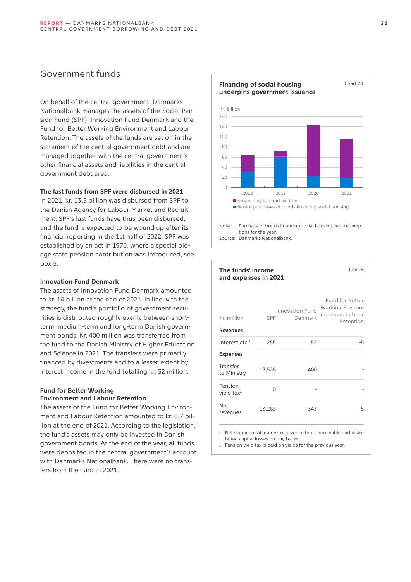### <span id="page-20-0"></span>Government funds

On behalf of the central government, Danmarks Nationalbank manages the assets of the Social Pension Fund (SPF), Innovation Fund Denmark and the Fund for Better Working Environment and Labour Retention. The assets of the funds are set off in the statement of the central government debt and are managed together with the central government's other financial assets and liabilities in the central government debt area.

### **The last funds from SPF were disbursed in 2021**

In 2021, kr. 13.5 billion was disbursed from SPF to the Danish Agency for Labour Market and Recruitment. SPF's last funds have thus been disbursed, and the fund is expected to be wound up after its financial reporting in the 1st half of 2022. SPF was established by an act in 1970, where a special oldage state pension contribution was introduced, see box 5.

### **Innovation Fund Denmark**

The assets of Innovation Fund Denmark amounted to kr. 14 billion at the end of 2021. In line with the strategy, the fund's portfolio of government securities is distributed roughly evenly between shortterm, medium-term and long-term Danish government bonds. Kr. 400 million was transferred from the fund to the Danish Ministry of Higher Education and Science in 2021. The transfers were primarily financed by divestments and to a lesser extent by interest income in the fund totalling kr. 32 million.

### **Fund for Better Working**

### **Environment and Labour Retention**

The assets of the Fund for Better Working Environment and Labour Retention amounted to kr. 0.7 billion at the end of 2021. According to the legislation, the fund's assets may only be invested in Danish government bonds. At the end of the year, all funds were deposited in the central government's account with Danmarks Nationalbank. There were no transfers from the fund in 2021.



### **The funds' income and expenses in 2021**

| Kr. million                       | <b>SPF</b> | Innovation Fund<br>Denmark | Fund for Better<br>Working Environ-<br>ment and Labour<br>Retention |
|-----------------------------------|------------|----------------------------|---------------------------------------------------------------------|
| <b>Revenues</b>                   |            |                            |                                                                     |
| Interest etc. $1$                 | 255        | 57                         | -5                                                                  |
| <b>Expenses</b>                   |            |                            |                                                                     |
| Transfer<br>to Ministry           | 13,538     | 400                        |                                                                     |
| Pension<br>yield tax <sup>2</sup> | ∩          |                            |                                                                     |
| <b>Net</b><br>revenues            | $-13,283$  | $-343$                     | -5                                                                  |

Net statement of interest received, interest receivable and distributed capital losses on buy-backs.

2. Pension yield tax is paid on yields for the previous year.

Table 6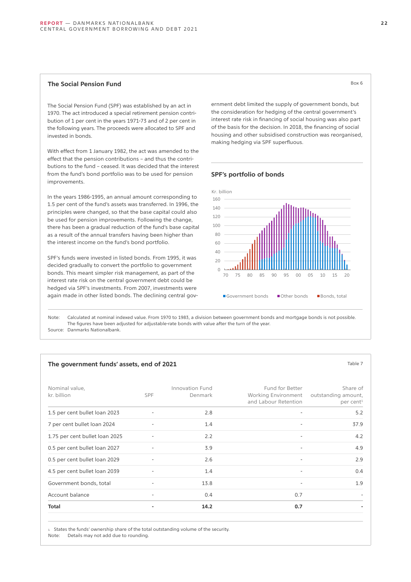### **The Social Pension Fund** Box 6

The Social Pension Fund (SPF) was established by an act in 1970. The act introduced a special retirement pension contribution of 1 per cent in the years 1971-73 and of 2 per cent in the following years. The proceeds were allocated to SPF and invested in bonds.

With effect from 1 January 1982, the act was amended to the effect that the pension contributions – and thus the contributions to the fund – ceased. It was decided that the interest from the fund's bond portfolio was to be used for pension improvements.

In the years 1986-1995, an annual amount corresponding to 1.5 per cent of the fund's assets was transferred. In 1996, the principles were changed, so that the base capital could also be used for pension improvements. Following the change, there has been a gradual reduction of the fund's base capital as a result of the annual transfers having been higher than the interest income on the fund's bond portfolio.

SPF's funds were invested in listed bonds. From 1995, it was decided gradually to convert the portfolio to government bonds. This meant simpler risk management, as part of the interest rate risk on the central government debt could be hedged via SPF's investments. From 2007, investments were again made in other listed bonds. The declining central government debt limited the supply of government bonds, but the consideration for hedging of the central government's interest rate risk in financing of social housing was also part of the basis for the decision. In 2018, the financing of social housing and other subsidised construction was reorganised, making hedging via SPF superfluous.

### **SPF's portfolio of bonds**



Note: Calculated at nominal indexed value. From 1970 to 1983, a division between government bonds and mortgage bonds is not possible. The figures have been adjusted for adjustable-rate bonds with value after the turn of the year. Source: Danmarks Nationalbank.

#### The government funds' assets, end of 2021 **Table 7** about 2021 **Table 7** about 2021

| Nominal value,<br>kr. billion  | <b>SPF</b>                   | Innovation Fund<br>Denmark | Fund for Better<br><b>Working Environment</b><br>and Labour Retention | Share of<br>outstanding amount,<br>per cent <sup>1</sup> |
|--------------------------------|------------------------------|----------------------------|-----------------------------------------------------------------------|----------------------------------------------------------|
| 1.5 per cent bullet loan 2023  |                              | 2.8                        |                                                                       | 5.2                                                      |
| 7 per cent bullet loan 2024    | $\overline{\phantom{a}}$     | 1.4                        |                                                                       | 37.9                                                     |
| 1.75 per cent bullet loan 2025 |                              | 2.2                        |                                                                       | 4.2                                                      |
| 0.5 per cent bullet loan 2027  |                              | 3.9                        | $\overline{\phantom{a}}$                                              | 4.9                                                      |
| 0.5 per cent bullet loan 2029  | $\qquad \qquad \blacksquare$ | 2.6                        |                                                                       | 2.9                                                      |
| 4.5 per cent bullet loan 2039  | $\overline{a}$               | 1.4                        | $\overline{\phantom{a}}$                                              | 0.4                                                      |
| Government bonds, total        |                              | 13.8                       |                                                                       | 1.9                                                      |
| Account balance                | $\overline{\phantom{a}}$     | 0.4                        | 0.7                                                                   |                                                          |
| <b>Total</b>                   | ٠                            | 14.2                       | 0.7                                                                   |                                                          |

1. States the funds' ownership share of the total outstanding volume of the security.

Note: Details may not add due to rounding.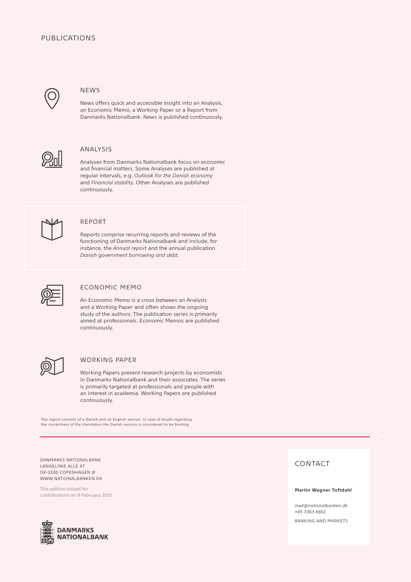### PUBLICATIONS



### **NEWS**

News offers quick and accessible insight into an Analysis, an Economic Memo, a Working Paper or a Report from Danmarks Nationalbank. News is published continuously.



### ANALYSIS

Analyses from Danmarks Nationalbank focus on economic and financial matters. Some Analyses are published at regular intervals, e.g. *Outlook for the Danish economy* and *Financial stability*. Other Analyses are published continuously.



### REPORT

Reports comprise recurring reports and reviews of the functioning of Danmarks Nationalbank and include, for instance, the *Annual report* and the annual publication *Danish government borrowing and debt.*



### ECONOMIC MEMO

An Economic Memo is a cross between an Analysis and a Working Paper and often shows the ongoing study of the authors. The publication series is primarily aimed at professionals. Economic Memos are published continuously.



### WORKING PAPER

Working Papers present research projects by economists in Danmarks Nationalbank and their associates. The series is primarily targeted at professionals and people with an interest in academia. Working Papers are published continuously.

The report consists of a Danish and an English version. In case of doubt regarding the correctness of the translation the Danish version is considered to be binding.

DANMARKS NATIONALBANK LANGELINIE ALLÉ 47 DK-2100 COPENHAGEN Ø WWW.NATIONALBANKEN.DK

This edition closed for contributions on 9 February 2021



### CONTACT

#### **Martin Wagner Toftdahl**

*mwt@nationalbanken.dk +45 3363 6661*  BANKING AND MARKETS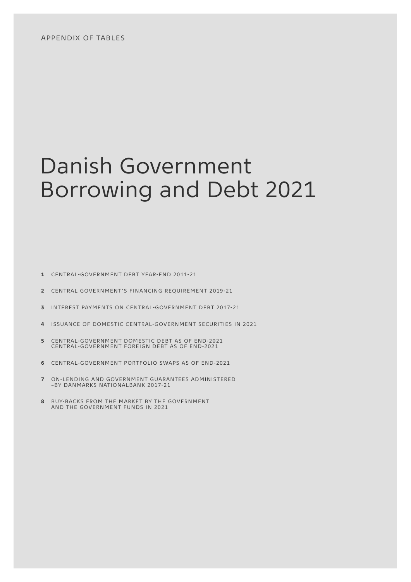## <span id="page-23-0"></span>Danish Government Borrowing and Debt 2021

- **1** CENTRAL-GOVERNMENT DEBT YEAR-END 2011-21
- **2** CENTRAL GOVERNMENT'S FINANCING REQUIREMENT 2019-21
- **3** INTEREST PAYMENTS ON CENTRAL-GOVERNMENT DEBT 2017-21
- **4** ISSUANCE OF DOMESTIC CENTRAL-GOVERNMENT SECURITIES IN 2021
- **5** CENTRAL-GOVERNMENT DOMESTIC DEBT AS OF END-2021 CENTRAL-GOVERNMENT FOREIGN DEBT AS OF END-2021
- **6** CENTRAL-GOVERNMENT PORTFOLIO SWAPS AS OF END-2021
- **7** ON-LENDING AND GOVERNMENT GUARANTEES ADMINISTERED –BY DANMARKS NATIONALBANK 2017-21
- **8** BUY-BACKS FROM THE MARKET BY THE GOVERNMENT AND THE GOVERNMENT FUNDS IN 2021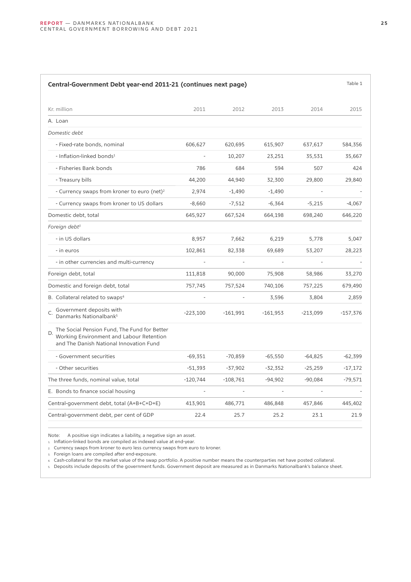| Central-Government Debt year-end 2011-21 (continues next page)                                                                            |            |            |            |            | Table 1    |
|-------------------------------------------------------------------------------------------------------------------------------------------|------------|------------|------------|------------|------------|
| Kr. million                                                                                                                               | 2011       | 2012       | 2013       | 2014       | 2015       |
| A. Loan                                                                                                                                   |            |            |            |            |            |
| Domestic debt                                                                                                                             |            |            |            |            |            |
| - Fixed-rate bonds, nominal                                                                                                               | 606,627    | 620,695    | 615,907    | 637,617    | 584,356    |
| - Inflation-linked bonds <sup>1</sup>                                                                                                     |            | 10,207     | 23,251     | 35,531     | 35,667     |
| - Fisheries Bank bonds                                                                                                                    | 786        | 684        | 594        | 507        | 424        |
| - Treasury bills                                                                                                                          | 44,200     | 44,940     | 32,300     | 29,800     | 29,840     |
| - Currency swaps from kroner to euro (net) <sup>2</sup>                                                                                   | 2,974      | $-1,490$   | $-1,490$   |            |            |
| - Currency swaps from kroner to US dollars                                                                                                | $-8,660$   | $-7,512$   | $-6,364$   | $-5,215$   | $-4,067$   |
| Domestic debt, total                                                                                                                      | 645,927    | 667,524    | 664,198    | 698,240    | 646,220    |
| Foreign debt <sup>3</sup>                                                                                                                 |            |            |            |            |            |
| - in US dollars                                                                                                                           | 8,957      | 7,662      | 6,219      | 5,778      | 5,047      |
| - in euros                                                                                                                                | 102,861    | 82,338     | 69,689     | 53,207     | 28,223     |
| - in other currencies and multi-currency                                                                                                  |            |            |            |            |            |
| Foreign debt, total                                                                                                                       | 111,818    | 90,000     | 75,908     | 58,986     | 33,270     |
| Domestic and foreign debt, total                                                                                                          | 757,745    | 757,524    | 740,106    | 757,225    | 679,490    |
| B. Collateral related to swaps <sup>4</sup>                                                                                               |            |            | 3,596      | 3,804      | 2,859      |
| Government deposits with<br>Danmarks Nationalbank <sup>5</sup>                                                                            | $-223,100$ | $-161,991$ | $-161,953$ | $-213,099$ | $-157,376$ |
| The Social Pension Fund, The Fund for Better<br>D.<br>Working Environment and Labour Retention<br>and The Danish National Innovation Fund |            |            |            |            |            |
| - Government securities                                                                                                                   | $-69,351$  | $-70,859$  | $-65,550$  | $-64,825$  | $-62,399$  |
| - Other securities                                                                                                                        | $-51,393$  | $-37,902$  | $-32,352$  | $-25,259$  | $-17,172$  |
| The three funds, nominal value, total                                                                                                     | $-120,744$ | $-108,761$ | $-94,902$  | $-90,084$  | $-79,571$  |
| E. Bonds to finance social housing                                                                                                        |            |            |            |            |            |
| Central-government debt, total (A+B+C+D+E)                                                                                                | 413,901    | 486,771    | 486,848    | 457,846    | 445,402    |

Note: A positive sign indicates a liability, a negative sign an asset.

1. Inflation-linked bonds are compiled as indexed value at end-year.

2. Currency swaps from kroner to euro less currency swaps from euro to kroner.

3. Foreign loans are compiled after end-exposure.

4. Cash-collateral for the market value of the swap portfolio. A positive number means the counterparties net have posted collateral.

5. Deposits include deposits of the government funds. Government deposit are measured as in Danmarks Nationalbank's balance sheet.

Central-government debt, per cent of GDP 22.4 25.7 25.2 23.1 21.9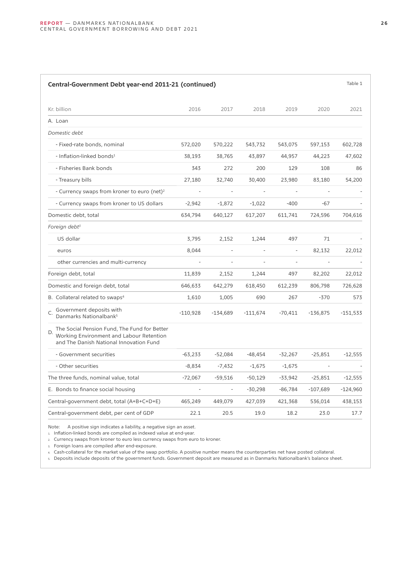| Table 1<br>Central-Government Debt year-end 2011-21 (continued)                                                                           |                          |           |               |           |                          |            |
|-------------------------------------------------------------------------------------------------------------------------------------------|--------------------------|-----------|---------------|-----------|--------------------------|------------|
| Kr. billion                                                                                                                               | 2016                     | 2017      | 2018          | 2019      | 2020                     | 2021       |
| A. Loan                                                                                                                                   |                          |           |               |           |                          |            |
| Domestic debt                                                                                                                             |                          |           |               |           |                          |            |
| - Fixed-rate bonds, nominal                                                                                                               | 572,020                  | 570,222   | 543,732       | 543,075   | 597,153                  | 602,728    |
| - Inflation-linked bonds <sup>1</sup>                                                                                                     | 38,193                   | 38,765    | 43,897        | 44,957    | 44,223                   | 47,602     |
| - Fisheries Bank bonds                                                                                                                    | 343                      | 272       | 200           | 129       | 108                      | 86         |
| - Treasury bills                                                                                                                          | 27,180                   | 32,740    | 30,400        | 23,980    | 83,180                   | 54,200     |
| - Currency swaps from kroner to euro (net) <sup>2</sup>                                                                                   | $\overline{\phantom{a}}$ | $\sim$    | $\frac{1}{2}$ |           | $\overline{a}$           |            |
| - Currency swaps from kroner to US dollars                                                                                                | $-2,942$                 | $-1,872$  | $-1,022$      | $-400$    | $-67$                    |            |
| Domestic debt, total                                                                                                                      | 634,794                  | 640,127   | 617,207       | 611,741   | 724,596                  | 704,616    |
| Foreign debt <sup>3</sup>                                                                                                                 |                          |           |               |           |                          |            |
| US dollar                                                                                                                                 | 3,795                    | 2,152     | 1,244         | 497       | 71                       |            |
| euros                                                                                                                                     | 8,044                    |           |               |           | 82,132                   | 22,012     |
| other currencies and multi-currency                                                                                                       |                          |           |               |           |                          |            |
| Foreign debt, total                                                                                                                       | 11,839                   | 2,152     | 1,244         | 497       | 82,202                   | 22,012     |
| Domestic and foreign debt, total                                                                                                          | 646,633                  | 642,279   | 618,450       | 612,239   | 806,798                  | 726,628    |
| B. Collateral related to swaps <sup>4</sup>                                                                                               | 1,610                    | 1,005     | 690           | 267       | $-370$                   | 573        |
| Government deposits with<br>C.<br>Danmarks Nationalbank <sup>5</sup>                                                                      | $-110,928$               | -134,689  | $-111,674$    | -70,411   | $-136,875$               | $-151,533$ |
| The Social Pension Fund, The Fund for Better<br>D.<br>Working Environment and Labour Retention<br>and The Danish National Innovation Fund |                          |           |               |           |                          |            |
| - Government securities                                                                                                                   | $-63,233$                | $-52,084$ | $-48,454$     | $-32,267$ | $-25,851$                | $-12,555$  |
| - Other securities                                                                                                                        | $-8,834$                 | $-7,432$  | $-1,675$      | $-1,675$  | $\overline{\phantom{a}}$ |            |
| The three funds, nominal value, total                                                                                                     | $-72,067$                | $-59,516$ | $-50,129$     | -33,942   | $-25,851$                | $-12,555$  |
| E. Bonds to finance social housing                                                                                                        |                          |           | $-30,298$     | $-86,784$ | $-107,689$               | $-124,960$ |
| Central-government debt, total (A+B+C+D+E)                                                                                                | 465,249                  | 449,079   | 427,039       | 421,368   | 536,014                  | 438,153    |
| Central-government debt, per cent of GDP                                                                                                  | 22.1                     | 20.5      | 19.0          | 18.2      | 23.0                     | 17.7       |

Note: A positive sign indicates a liability, a negative sign an asset.

1. Inflation-linked bonds are compiled as indexed value at end-year.

2. Currency swaps from kroner to euro less currency swaps from euro to kroner.

3. Foreign loans are compiled after end-exposure.

4. Cash-collateral for the market value of the swap portfolio. A positive number means the counterparties net have posted collateral.

5. Deposits include deposits of the government funds. Government deposit are measured as in Danmarks Nationalbank's balance sheet.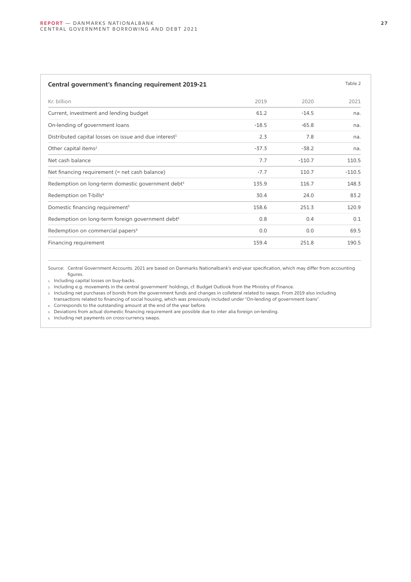### **Central government's financing requirement 2019-21 Table 2 Table 2** Table 2

| Kr. billion                                                       | 2019    | 2020     | 2021     |
|-------------------------------------------------------------------|---------|----------|----------|
| Current, investment and lending budget                            | 61.2    | $-14.5$  | na.      |
| On-lending of government loans                                    | $-18.5$ | $-65.8$  | na.      |
| Distributed capital losses on issue and due interest <sup>1</sup> | 2.3     | 7.8      | na.      |
| Other capital items <sup>2</sup>                                  | $-37.3$ | $-38.2$  | na.      |
| Net cash balance                                                  | 7.7     | $-110.7$ | 110.5    |
| Net financing requirement (= net cash balance)                    | $-7.7$  | 110.7    | $-110.5$ |
| Redemption on long-term domestic government debt <sup>3</sup>     | 135.9   | 116.7    | 148.3    |
| Redemption on T-bills <sup>4</sup>                                | 30.4    | 24.0     | 83.2     |
| Domestic financing requirement <sup>5</sup>                       | 158.6   | 251.3    | 120.9    |
| Redemption on long-term foreign government debt <sup>6</sup>      | 0.8     | 0.4      | 0.1      |
| Redemption on commercial papers <sup>4</sup>                      | 0.0     | 0.0      | 69.5     |
| Financing requirement                                             | 159.4   | 251.8    | 190.5    |
|                                                                   |         |          |          |

Source: Central Government Accounts. 2021 are based on Danmarks Nationalbank's end-year specification, which may differ from accounting figures.

1. Including capital losses on buy-backs.

2. Including e.g. movements in the central government' holdings, cf. Budget Outlook from the Ministry of Finance.

3. Including net purchases of bonds from the government funds and changes in colleteral related to swaps. From 2019 also including transactions related to financing of social housing, which was previously included under "On-lending of government loans".

4. Corresponds to the outstanding amount at the end of the year before.

5. Deviations from actual domestic financing requirement are possible due to inter alia foreign on-lending.

6. Including net payments on cross-currency swaps.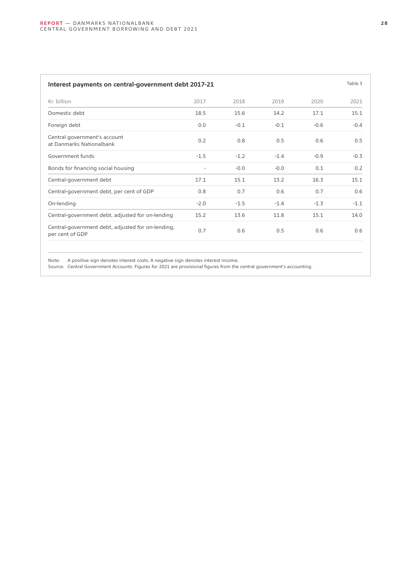| Interest payments on central-government debt 2017-21     |        |        |        |        |        |
|----------------------------------------------------------|--------|--------|--------|--------|--------|
| Kr. billion                                              | 2017   | 2018   | 2019   | 2020   | 2021   |
| Domestic debt                                            | 18.5   | 15.6   | 14.2   | 17.1   | 15.1   |
| Foreign debt                                             | 0.0    | $-0.1$ | $-0.1$ | $-0.6$ | $-0.4$ |
| Central government's account<br>at Danmarks Nationalbank | 0.2    | 0.8    | 0.5    | 0.6    | 0.5    |
| Government funds                                         | $-1.5$ | $-1.2$ | $-1.4$ | $-0.9$ | $-0.3$ |
| Bonds for financing social housing                       |        | $-0.0$ | $-0.0$ | 0.1    | 0.2    |
| Central-government debt                                  | 17.1   | 15.1   | 13.2   | 16.3   | 15.1   |

Central-government debt, per cent of GDP 0.8 0.7 0.6 0.7 0.6 0.7 0.6 On-lending -2.0 -1.5 -1.4 -1.3 -1.1 Central-government debt, adjusted for on-lending 15.2 13.6 11.8 15.1 14.0

per cent of GDP 0.7 0.6 0.5 0.6 0.6

Note: A positive sign denotes interest costs. A negative sign denotes interest income.

Central-government debt, adjusted for on-lending,

Source: Central Government Accounts. Figures for 2021 are provisional figures from the central government's accounting.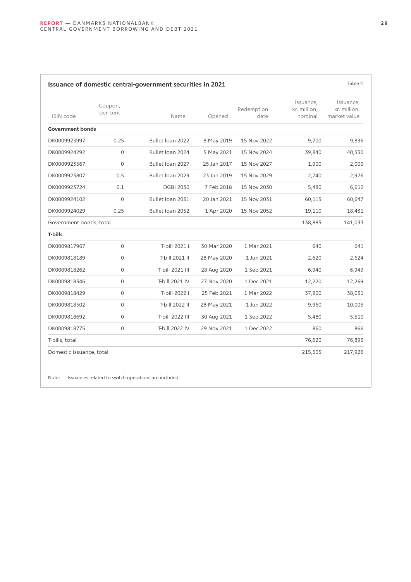| ISIN code                | Coupon,<br>per cent | Name             | Opened      | Redemption<br>date | Issuance,<br>kr. million,<br>nominal | Issuance,<br>kr. million,<br>market value |
|--------------------------|---------------------|------------------|-------------|--------------------|--------------------------------------|-------------------------------------------|
| <b>Government bonds</b>  |                     |                  |             |                    |                                      |                                           |
| DK0009923997             | 0.25                | Bullet loan 2022 | 8 May 2019  | 15 Nov 2022        | 9,700                                | 9,836                                     |
| DK0009924292             | $\Omega$            | Bullet loan 2024 | 5 May 2021  | 15 Nov 2024        | 39,840                               | 40,530                                    |
| DK0009923567             | $\Omega$            | Bullet loan 2027 | 25 Jan 2017 | 15 Nov 2027        | 1,900                                | 2,000                                     |
| DK0009923807             | 0.5                 | Bullet loan 2029 | 23 Jan 2019 | 15 Nov 2029        | 2,740                                | 2,976                                     |
| DK0009923724             | 0.1                 | <b>DGBI 2030</b> | 7 Feb 2018  | 15 Nov 2030        | 5,480                                | 6,612                                     |
| DK0009924102             | $\mathbf 0$         | Bullet loan 2031 | 20 Jan 2021 | 15 Nov 2031        | 60,115                               | 60,647                                    |
| DK0009924029             | 0.25                | Bullet loan 2052 | 1 Apr 2020  | 15 Nov 2052        | 19,110                               | 18,431                                    |
| Government bonds, total  |                     |                  |             |                    | 138,885                              | 141,033                                   |
| T-bills                  |                     |                  |             |                    |                                      |                                           |
| DK0009817967             | $\mathbf 0$         | T-bill 2021 I    | 30 Mar 2020 | 1 Mar 2021         | 640                                  | 641                                       |
| DK0009818189             | $\Omega$            | T-bill 2021 II   | 28 May 2020 | 1 Jun 2021         | 2,620                                | 2,624                                     |
| DK0009818262             | $\mathbf 0$         | T-bill 2021 III  | 28 Aug 2020 | 1 Sep 2021         | 6,940                                | 6,949                                     |
| DK0009818346             | $\Omega$            | T-bill 2021 IV   | 27 Nov 2020 | 1 Dec 2021         | 12,220                               | 12,269                                    |
| DK0009818429             | $\mathbf 0$         | T-bill 2022 I    | 25 Feb 2021 | 1 Mar 2022         | 37,900                               | 38,031                                    |
| DK0009818502             | $\mathsf{O}$        | T-bill 2022 II   | 28 May 2021 | 1 Jun 2022         | 9,960                                | 10,005                                    |
| DK0009818692             | $\mathsf{O}$        | T-bill 2022 III  | 30 Aug 2021 | 1 Sep 2022         | 5,480                                | 5,510                                     |
| DK0009818775             | $\mathbf 0$         | T-bill 2022 IV   | 29 Nov 2021 | 1 Dec 2022         | 860                                  | 866                                       |
| T-bills, total           |                     |                  |             |                    | 76,620                               | 76,893                                    |
| Domestic issuance, total |                     |                  |             |                    | 215,505                              | 217,926                                   |

Note: Issuances related to switch operations are included.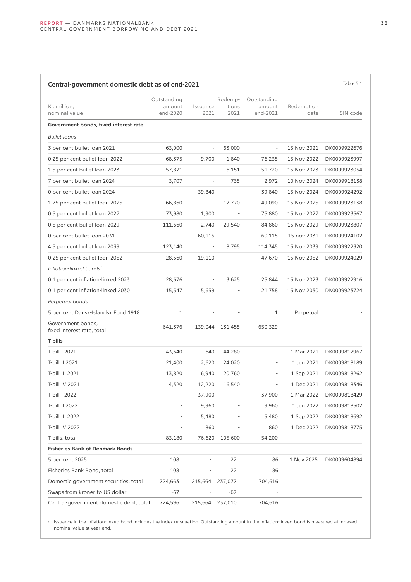### Kr. million, nominal value Outstanding amount end-2020 Issuance 2021 Redemptions 2021 Outstanding amount end-2021 Redemption date ISIN code **Government bonds, fixed interest-rate** *Bullet loans* 3 per cent bullet loan 2021 63,000 - 63,000 - 15 Nov 2021 DK0009922676 0.25 per cent bullet loan 2022 68,375 9,700 1,840 76,235 15 Nov 2022 DK0009923997 1.5 per cent bullet loan 2023 57,871 - 6,151 51,720 15 Nov 2023 DK0009923054 7 per cent bullet loan 2024 3,707 - 735 2,972 10 Nov 2024 DK0009918138 0 per cent bullet loan 2024 - 39,840 - 39,840 - 39,840 15 Nov 2024 DK0009924292 1.75 per cent bullet loan 2025 66,860 - 17,770 49,090 15 Nov 2025 DK0009923138 0.5 per cent bullet loan 2027 1,980 1,900 - 75,880 15 Nov 2027 DK0009923567 0.5 per cent bullet loan 2029 111,660 2,740 29,540 84,860 15 Nov 2029 DK0009923807 0 per cent bullet loan 2031 **- 60,115** - 60,115 - 60,115 15 nov 2031 DK0009924102 4.5 per cent bullet loan 2039 123,140 - 8,795 114,345 15 Nov 2039 DK0009922320 0.25 per cent bullet loan 2052 <br>28,560 19,110 - 47,670 15 Nov 2052 DK0009924029 *Inflation-linked bonds<sup>1</sup>* 0.1 per cent inflation-linked 2023 28,676 - 3,625 25,844 15 Nov 2023 DK0009922916 0.1 per cent inflation-linked 2030 15,547 5,639 - 21,758 15 Nov 2030 DK0009923724 *Perpetual bonds* 5 per cent Dansk-Islandsk Fond 1918 1 - 1 - 1 Perpetual - Perpetual - 1 Perpetual - 1 Perpetual - 1 Perpetual -Government bonds, fixed interest rate, total 641,376 139,044 131,455 650,329 **T-bills** T-bill I 2021 43,640 640 44,280 - 1 Mar 2021 DK0009817967 T-bill II 2021 21,400 2,620 24,020 - 1 Jun 2021 DK0009818189 T-bill III 2021 13,820 6,940 20,760 - 1 Sep 2021 DK0009818262 T-bill IV 2021 2.320 4,320 12,220 16,540 - 1 Dec 2021 DK0009818346 T-bill I 2022 2003 - 37,900 - 37,900 37,900 1 Mar 2022 DK0009818429 T-bill II 2022 200009818502 - 9,960 - 9,960 1 Jun 2022 DK0009818502 T-bill III 2022 200009818692<br>  $-$  5,480  $-$  5,480  $-$  5,480  $1$  Sep 2022 DK0009818692 T-bill IV 2022 200009818775 T-bills, total 83,180 76,620 105,600 54,200 **Fisheries Bank of Denmark Bonds** 5 per cent 2025 108 - 22 86 1 Nov 2025 DK0009604894 Fisheries Bank Bond, total 108 - 22 86 Domestic government securities, total 724,663 215,664 237,077 704,616 Swaps from kroner to US dollar  $-67$  -  $-67$ Central-government domestic debt, total 724,596 215,664 237,010 704,616

**Central-government domestic debt as of end-2021** Table 5.1

1. Issuance in the inflation-linked bond includes the index revaluation. Outstanding amount in the inflation-linked bond is measured at indexed nominal value at year-end.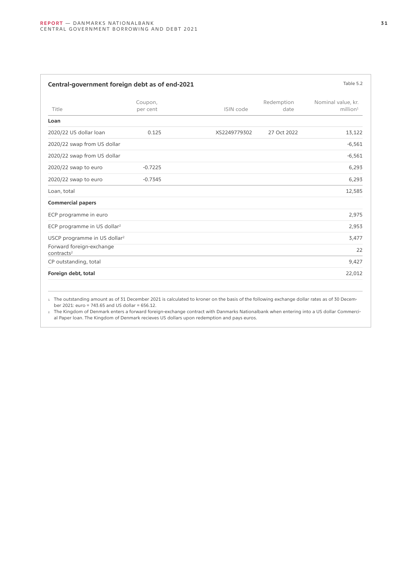| Table 5.2<br>Central-government foreign debt as of end-2021 |                     |              |                    |                                               |  |
|-------------------------------------------------------------|---------------------|--------------|--------------------|-----------------------------------------------|--|
| Title                                                       | Coupon,<br>per cent | ISIN code    | Redemption<br>date | Nominal value, kr.<br>$m$ illion <sup>1</sup> |  |
| Loan                                                        |                     |              |                    |                                               |  |
| 2020/22 US dollar loan                                      | 0.125               | XS2249779302 | 27 Oct 2022        | 13,122                                        |  |
| 2020/22 swap from US dollar                                 |                     |              |                    | $-6,561$                                      |  |
| 2020/22 swap from US dollar                                 |                     |              |                    | $-6,561$                                      |  |
| 2020/22 swap to euro                                        | $-0.7225$           |              |                    | 6,293                                         |  |
| 2020/22 swap to euro                                        | $-0.7345$           |              |                    | 6,293                                         |  |
| Loan, total                                                 |                     |              |                    | 12,585                                        |  |
| <b>Commercial papers</b>                                    |                     |              |                    |                                               |  |
| ECP programme in euro                                       |                     |              |                    | 2,975                                         |  |
| ECP programme in US dollar <sup>2</sup>                     |                     |              |                    | 2,953                                         |  |
| USCP programme in US dollar <sup>2</sup>                    |                     |              |                    | 3,477                                         |  |
| Forward foreign-exchange<br>contracts <sup>2</sup>          |                     |              |                    | 22                                            |  |
| CP outstanding, total                                       |                     |              |                    | 9,427                                         |  |
| Foreign debt, total                                         |                     |              |                    | 22,012                                        |  |

1. The outstanding amount as of 31 December 2021 is calculated to kroner on the basis of the following exchange dollar rates as of 30 December 2021: euro = 743.65 and US dollar = 656.12.

2. The Kingdom of Denmark enters a forward foreign-exchange contract with Danmarks Nationalbank when entering into a US dollar Commercial Paper loan. The Kingdom of Denmark recieves US dollars upon redemption and pays euros.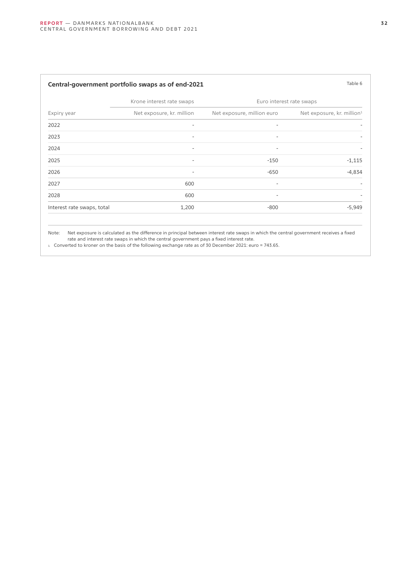| Table 6<br>Central-government portfolio swaps as of end-2021 |                              |                            |                                        |  |  |
|--------------------------------------------------------------|------------------------------|----------------------------|----------------------------------------|--|--|
| Expiry year                                                  | Krone interest rate swaps    | Euro interest rate swaps   |                                        |  |  |
|                                                              | Net exposure, kr. million    | Net exposure, million euro | Net exposure, kr. million <sup>1</sup> |  |  |
| 2022                                                         | $\qquad \qquad \blacksquare$ | $\overline{\phantom{a}}$   |                                        |  |  |
| 2023                                                         | $\overline{\phantom{a}}$     | $\overline{\phantom{a}}$   |                                        |  |  |
| 2024                                                         | $\overline{\phantom{a}}$     | $\overline{\phantom{a}}$   |                                        |  |  |
| 2025                                                         | $\qquad \qquad \blacksquare$ | $-150$                     | $-1,115$                               |  |  |
| 2026                                                         | $\overline{\phantom{a}}$     | $-650$                     | $-4,834$                               |  |  |
| 2027                                                         | 600                          | $\overline{\phantom{a}}$   |                                        |  |  |
| 2028                                                         | 600                          | $\overline{\phantom{0}}$   |                                        |  |  |
| Interest rate swaps, total                                   | 1,200                        | $-800$                     | $-5,949$                               |  |  |
|                                                              |                              |                            |                                        |  |  |

Note: Net exposure is calculated as the difference in principal between interest rate swaps in which the central government receives a fixed rate and interest rate swaps in which the central government pays a fixed interest rate.

1. Converted to kroner on the basis of the following exchange rate as of 30 December 2021: euro = 743.65.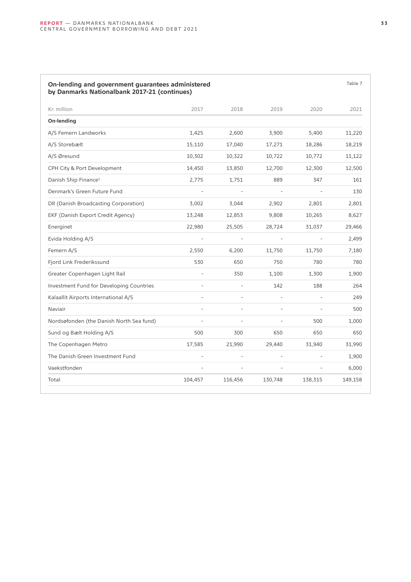| On-lending and government guarantees administered<br>by Danmarks Nationalbank 2017-21 (continues) |                |         |         |         | Table 7 |
|---------------------------------------------------------------------------------------------------|----------------|---------|---------|---------|---------|
| Kr. million                                                                                       | 2017           | 2018    | 2019    | 2020    | 2021    |
| On-lending                                                                                        |                |         |         |         |         |
| A/S Femern Landworks                                                                              | 1,425          | 2.600   | 3,900   | 5,400   | 11,220  |
| A/S Storebælt                                                                                     | 15,110         | 17,040  | 17,271  | 18,286  | 18,219  |
| A/S Øresund                                                                                       | 10,302         | 10,322  | 10,722  | 10,772  | 11,122  |
| CPH City & Port Development                                                                       | 14,450         | 13,850  | 12,700  | 12,300  | 12,500  |
| Danish Ship Finance <sup>1</sup>                                                                  | 2,775          | 1,751   | 889     | 347     | 161     |
| Denmark's Green Future Fund                                                                       |                |         |         |         | 130     |
| DR (Danish Broadcasting Corporation)                                                              | 3,002          | 3,044   | 2,902   | 2,801   | 2,801   |
| EKF (Danish Export Credit Agency)                                                                 | 13,248         | 12,853  | 9,808   | 10,265  | 8,627   |
| Energinet                                                                                         | 22,980         | 25,505  | 28,724  | 31,037  | 29,466  |
| Evida Holding A/S                                                                                 |                |         |         |         | 2,499   |
| Femern A/S                                                                                        | 2,550          | 6,200   | 11,750  | 11,750  | 7,180   |
| Fjord Link Frederikssund                                                                          | 530            | 650     | 750     | 780     | 780     |
| Greater Copenhagen Light Rail                                                                     |                | 350     | 1,100   | 1,300   | 1,900   |
| Investment Fund for Developing Countries                                                          |                |         | 142     | 188     | 264     |
| Kalaallit Airports International A/S                                                              |                |         |         |         | 249     |
| Naviair                                                                                           |                |         |         |         | 500     |
| Nordsøfonden (the Danish North Sea fund)                                                          | $\overline{a}$ |         |         | 500     | 1,000   |
| Sund og Bælt Holding A/S                                                                          | 500            | 300     | 650     | 650     | 650     |
| The Copenhagen Metro                                                                              | 17,585         | 21,990  | 29,440  | 31,940  | 31,990  |
| The Danish Green Investment Fund                                                                  |                |         |         |         | 1,900   |
| Vaekstfonden                                                                                      |                |         |         |         | 6,000   |
| Total                                                                                             | 104,457        | 116,456 | 130,748 | 138,315 | 149,158 |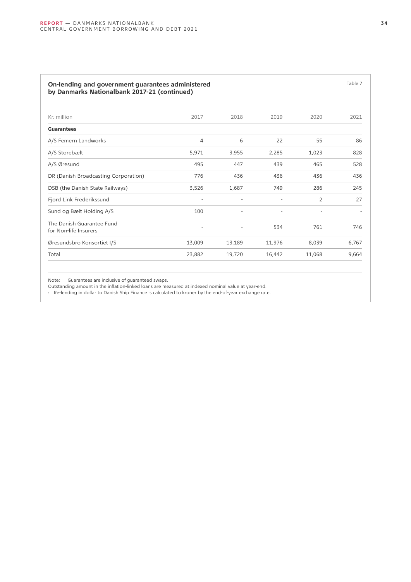### **On-lending and government guarantees administered by Danmarks Nationalbank 2017-21 (continued)**

| Kr. million                                        | 2017                     | 2018                     | 2019                     | 2020                     | 2021  |
|----------------------------------------------------|--------------------------|--------------------------|--------------------------|--------------------------|-------|
| Guarantees                                         |                          |                          |                          |                          |       |
| A/S Femern Landworks                               | 4                        | 6                        | 22                       | 55                       | 86    |
| A/S Storebælt                                      | 5,971                    | 3,955                    | 2,285                    | 1,023                    | 828   |
| A/S Øresund                                        | 495                      | 447                      | 439                      | 465                      | 528   |
| DR (Danish Broadcasting Corporation)               | 776                      | 436                      | 436                      | 436                      | 436   |
| DSB (the Danish State Railways)                    | 3,526                    | 1,687                    | 749                      | 286                      | 245   |
| Fjord Link Frederikssund                           | $\overline{\phantom{a}}$ | $\overline{\phantom{a}}$ | $\overline{\phantom{a}}$ | $\overline{2}$           | 27    |
| Sund og Bælt Holding A/S                           | 100                      | $\overline{\phantom{a}}$ | $\overline{\phantom{a}}$ | $\overline{\phantom{a}}$ |       |
| The Danish Guarantee Fund<br>for Non-life Insurers | $\qquad \qquad -$        | $\overline{\phantom{a}}$ | 534                      | 761                      | 746   |
| Øresundsbro Konsortiet I/S                         | 13,009                   | 13,189                   | 11,976                   | 8,039                    | 6,767 |
| Total                                              | 23,882                   | 19,720                   | 16,442                   | 11,068                   | 9,664 |
|                                                    |                          |                          |                          |                          |       |

Note: Guarantees are inclusive of guaranteed swaps.

Outstanding amount in the inflation-linked loans are measured at indexed nominal value at year-end.

1. Re-lending in dollar to Danish Ship Finance is calculated to kroner by the end-of-year exchange rate.

Table 7